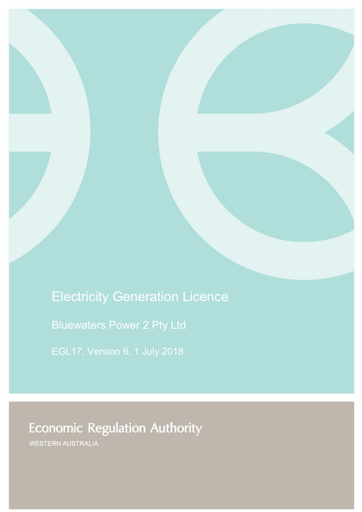# Electricity Generation Licence

Bluewaters Power 2 Pty Ltd

# **Economic Regulation Authority**

WESTERN AUSTRALIA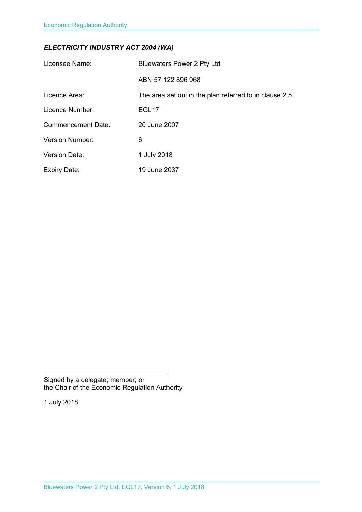### *ELECTRICITY INDUSTRY ACT 2004 (WA)*

| Licensee Name:            | <b>Bluewaters Power 2 Pty Ltd</b>                       |
|---------------------------|---------------------------------------------------------|
|                           | ABN 57 122 896 968                                      |
| Licence Area:             | The area set out in the plan referred to in clause 2.5. |
| Licence Number:           | EGL <sub>17</sub>                                       |
| <b>Commencement Date:</b> | 20 June 2007                                            |
| <b>Version Number:</b>    | 6                                                       |
| <b>Version Date:</b>      | 1 July 2018                                             |
| <b>Expiry Date:</b>       | 19 June 2037                                            |

Signed by a delegate; member; or the Chair of the Economic Regulation Authority

1 July 2018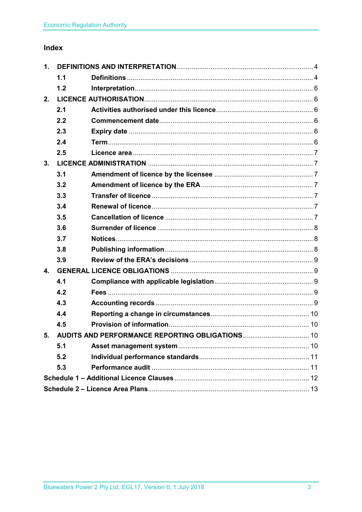### Index

| 1. |     |  |  |
|----|-----|--|--|
|    | 1.1 |  |  |
|    | 1.2 |  |  |
| 2. |     |  |  |
|    | 2.1 |  |  |
|    | 2.2 |  |  |
|    | 2.3 |  |  |
|    | 2.4 |  |  |
|    | 2.5 |  |  |
| 3. |     |  |  |
|    | 3.1 |  |  |
|    | 3.2 |  |  |
|    | 3.3 |  |  |
|    | 3.4 |  |  |
|    | 3.5 |  |  |
|    | 3.6 |  |  |
|    | 3.7 |  |  |
|    | 3.8 |  |  |
|    | 3.9 |  |  |
| 4. |     |  |  |
|    | 4.1 |  |  |
|    | 4.2 |  |  |
|    | 4.3 |  |  |
|    | 4.4 |  |  |
|    | 4.5 |  |  |
| 5. |     |  |  |
|    | 5.1 |  |  |
|    | 5.2 |  |  |
|    | 5.3 |  |  |
|    |     |  |  |
|    |     |  |  |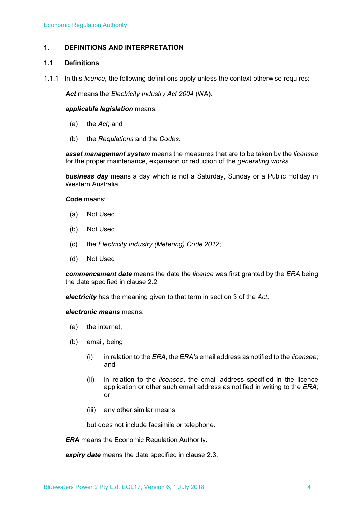#### <span id="page-3-0"></span>**1. DEFINITIONS AND INTERPRETATION**

#### <span id="page-3-1"></span>**1.1 Definitions**

1.1.1 In this *licence*, the following definitions apply unless the context otherwise requires:

*Act* means the *Electricity Industry Act 2004* (WA).

#### *applicable legislation* means:

- (a) the *Act*; and
- (b) the *Regulations* and the *Codes*.

*asset management system* means the measures that are to be taken by the *licensee* for the proper maintenance, expansion or reduction of the *generating works*.

*business day* means a day which is not a Saturday, Sunday or a Public Holiday in Western Australia.

*Code* means:

- (a) Not Used
- (b) Not Used
- (c) the *Electricity Industry (Metering) Code 2012*;
- (d) Not Used

*commencement date* means the date the *licence* was first granted by the *ERA* being the date specified in clause 2.2.

*electricity* has the meaning given to that term in section 3 of the *Act*.

*electronic means* means:

- (a) the internet;
- (b) email, being:
	- (i) in relation to the *ERA*, the *ERA's* email address as notified to the *licensee*; and
	- (ii) in relation to the *licensee*, the email address specified in the licence application or other such email address as notified in writing to the *ERA*; or
	- (iii) any other similar means,

but does not include facsimile or telephone.

*ERA* means the Economic Regulation Authority.

*expiry date* means the date specified in clause 2.3.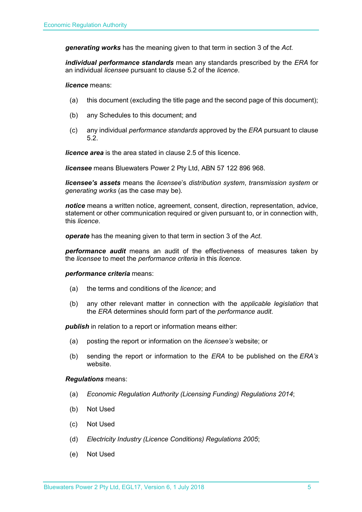*generating works* has the meaning given to that term in section 3 of the *Act.*

*individual performance standards* mean any standards prescribed by the *ERA* for an individual *licensee* pursuant to clause 5.2 of the *licence*.

*licence* means:

- (a) this document (excluding the title page and the second page of this document);
- (b) any Schedules to this document; and
- (c) any individual *performance standards* approved by the *ERA* pursuant to clause 5.2.

*licence area* is the area stated in clause 2.5 of this licence.

*licensee* means Bluewaters Power 2 Pty Ltd, ABN 57 122 896 968.

*licensee's assets* means the *licensee*'s *distribution system*, *transmission system* or *generating works* (as the case may be).

*notice* means a written notice, agreement, consent, direction, representation, advice, statement or other communication required or given pursuant to, or in connection with, this *licence*.

*operate* has the meaning given to that term in section 3 of the *Act*.

*performance audit* means an audit of the effectiveness of measures taken by the *licensee* to meet the *performance criteria* in this *licence*.

#### *performance criteria* means:

- (a) the terms and conditions of the *licence*; and
- (b) any other relevant matter in connection with the *applicable legislation* that the *ERA* determines should form part of the *performance audit*.

**publish** in relation to a report or information means either:

- (a) posting the report or information on the *licensee's* website; or
- (b) sending the report or information to the *ERA* to be published on the *ERA's* website.

#### *Regulations* means:

- (a) *Economic Regulation Authority (Licensing Funding) Regulations 2014*;
- (b) Not Used
- (c) Not Used
- (d) *Electricity Industry (Licence Conditions) Regulations 2005*;
- (e) Not Used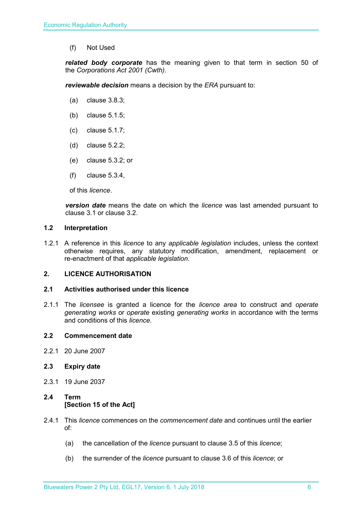(f) Not Used

*related body corporate* has the meaning given to that term in section 50 of the *Corporations Act 2001 (Cwth)*.

*reviewable decision* means a decision by the *ERA* pursuant to:

- (a) clause 3.8.3;
- (b) clause 5.1.5;
- (c) clause 5.1.7;
- (d) clause 5.2.2;
- (e) clause 5.3.2; or
- (f) clause 5.3.4,

of this *licence*.

*version date* means the date on which the *licence* was last amended pursuant to clause 3.1 or clause 3.2.

#### <span id="page-5-0"></span>**1.2 Interpretation**

1.2.1 A reference in this *licence* to any *applicable legislation* includes, unless the context otherwise requires, any statutory modification, amendment, replacement or re-enactment of that *applicable legislation*.

#### <span id="page-5-1"></span>**2. LICENCE AUTHORISATION**

#### <span id="page-5-2"></span>**2.1 Activities authorised under this licence**

2.1.1 The *licensee* is granted a licence for the *licence area* to construct and *operate generating works* or *operate* existing *generating works* in accordance with the terms and conditions of this *licence*.

#### <span id="page-5-3"></span>**2.2 Commencement date**

2.2.1 20 June 2007

#### <span id="page-5-4"></span>**2.3 Expiry date**

2.3.1 19 June 2037

#### <span id="page-5-5"></span>**2.4 Term [Section 15 of the Act]**

- 2.4.1 This *licence* commences on the *commencement date* and continues until the earlier of:
	- (a) the cancellation of the *licence* pursuant to clause 3.5 of this *licence*;
	- (b) the surrender of the *licence* pursuant to clause 3.6 of this *licence*; or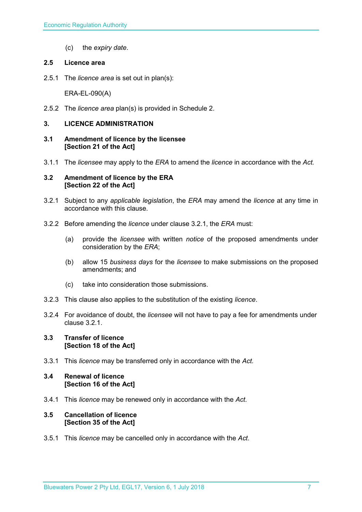(c) the *expiry date*.

#### <span id="page-6-0"></span>**2.5 Licence area**

2.5.1 The *licence area* is set out in plan(s):

ERA-EL-090(A)

2.5.2 The *licence area* plan(s) is provided in Schedule 2.

#### <span id="page-6-1"></span>**3. LICENCE ADMINISTRATION**

- <span id="page-6-2"></span>**3.1 Amendment of licence by the licensee [Section 21 of the Act]**
- 3.1.1 The *licensee* may apply to the *ERA* to amend the *licence* in accordance with the *Act.*

#### <span id="page-6-3"></span>**3.2 Amendment of licence by the ERA [Section 22 of the Act]**

- 3.2.1 Subject to any *applicable legislation*, the *ERA* may amend the *licence* at any time in accordance with this clause.
- 3.2.2 Before amending the *licence* under clause 3.2.1, the *ERA* must:
	- (a) provide the *licensee* with written *notice* of the proposed amendments under consideration by the *ERA*;
	- (b) allow 15 *business days* for the *licensee* to make submissions on the proposed amendments; and
	- (c) take into consideration those submissions.
- 3.2.3 This clause also applies to the substitution of the existing *licence*.
- 3.2.4 For avoidance of doubt, the *licensee* will not have to pay a fee for amendments under clause 3.2.1.

#### <span id="page-6-4"></span>**3.3 Transfer of licence [Section 18 of the Act]**

3.3.1 This *licence* may be transferred only in accordance with the *Act.*

#### <span id="page-6-5"></span>**3.4 Renewal of licence [Section 16 of the Act]**

3.4.1 This *licence* may be renewed only in accordance with the *Act*.

#### <span id="page-6-6"></span>**3.5 Cancellation of licence [Section 35 of the Act]**

3.5.1 This *licence* may be cancelled only in accordance with the *Act*.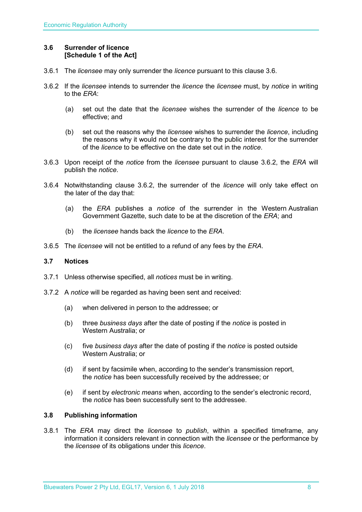#### <span id="page-7-0"></span>**3.6 Surrender of licence [Schedule 1 of the Act]**

- 3.6.1 The *licensee* may only surrender the *licence* pursuant to this clause 3.6.
- 3.6.2 If the *licensee* intends to surrender the *licence* the *licensee* must, by *notice* in writing to the *ERA*:
	- (a) set out the date that the *licensee* wishes the surrender of the *licence* to be effective; and
	- (b) set out the reasons why the *licensee* wishes to surrender the *licence*, including the reasons why it would not be contrary to the public interest for the surrender of the *licence* to be effective on the date set out in the *notice*.
- 3.6.3 Upon receipt of the *notice* from the *licensee* pursuant to clause 3.6.2, the *ERA* will publish the *notice*.
- 3.6.4 Notwithstanding clause 3.6.2, the surrender of the *licence* will only take effect on the later of the day that:
	- (a) the *ERA* publishes a *notice* of the surrender in the Western Australian Government Gazette, such date to be at the discretion of the *ERA*; and
	- (b) the *licensee* hands back the *licence* to the *ERA*.
- 3.6.5 The *licensee* will not be entitled to a refund of any fees by the *ERA*.

#### <span id="page-7-1"></span>**3.7 Notices**

- 3.7.1 Unless otherwise specified, all *notices* must be in writing.
- 3.7.2 A *notice* will be regarded as having been sent and received:
	- (a) when delivered in person to the addressee; or
	- (b) three *business days* after the date of posting if the *notice* is posted in Western Australia; or
	- (c) five *business days* after the date of posting if the *notice* is posted outside Western Australia; or
	- (d) if sent by facsimile when, according to the sender's transmission report, the *notice* has been successfully received by the addressee; or
	- (e) if sent by *electronic means* when, according to the sender's electronic record, the *notice* has been successfully sent to the addressee.

#### <span id="page-7-2"></span>**3.8 Publishing information**

3.8.1 The *ERA* may direct the *licensee* to *publish*, within a specified timeframe, any information it considers relevant in connection with the *licensee* or the performance by the *licensee* of its obligations under this *licence*.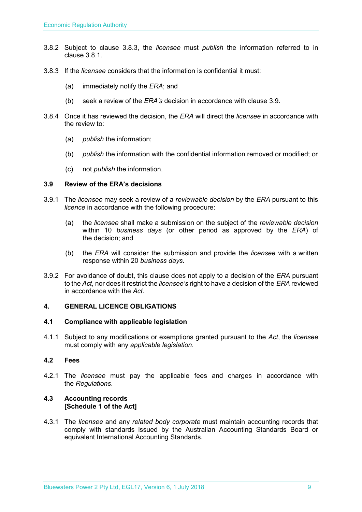- 3.8.2 Subject to clause 3.8.3, the *licensee* must *publish* the information referred to in clause 3.8.1.
- 3.8.3 If the *licensee* considers that the information is confidential it must:
	- (a) immediately notify the *ERA*; and
	- (b) seek a review of the *ERA's* decision in accordance with clause 3.9.
- 3.8.4 Once it has reviewed the decision, the *ERA* will direct the *licensee* in accordance with the review to:
	- (a) *publish* the information;
	- (b) *publish* the information with the confidential information removed or modified; or
	- (c) not *publish* the information.

#### <span id="page-8-0"></span>**3.9 Review of the ERA's decisions**

- 3.9.1 The *licensee* may seek a review of a *reviewable decision* by the *ERA* pursuant to this *licence* in accordance with the following procedure:
	- (a) the *licensee* shall make a submission on the subject of the *reviewable decision* within 10 *business days* (or other period as approved by the *ERA*) of the decision; and
	- (b) the *ERA* will consider the submission and provide the *licensee* with a written response within 20 *business days*.
- 3.9.2 For avoidance of doubt, this clause does not apply to a decision of the *ERA* pursuant to the *Act*, nor does it restrict the *licensee's* right to have a decision of the *ERA* reviewed in accordance with the *Act*.

#### <span id="page-8-1"></span>**4. GENERAL LICENCE OBLIGATIONS**

#### <span id="page-8-2"></span>**4.1 Compliance with applicable legislation**

4.1.1 Subject to any modifications or exemptions granted pursuant to the *Act*, the *licensee* must comply with any *applicable legislation*.

#### <span id="page-8-3"></span>**4.2 Fees**

4.2.1 The *licensee* must pay the applicable fees and charges in accordance with the *Regulations*.

#### <span id="page-8-4"></span>**4.3 Accounting records [Schedule 1 of the Act]**

4.3.1 The *licensee* and any *related body corporate* must maintain accounting records that comply with standards issued by the Australian Accounting Standards Board or equivalent International Accounting Standards.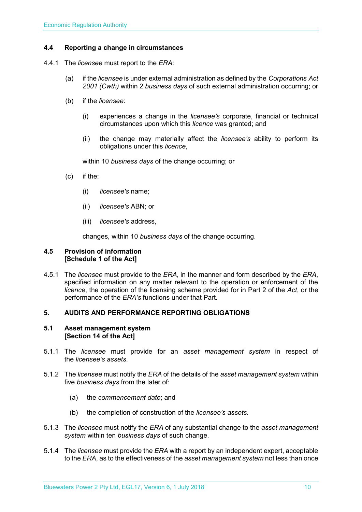#### <span id="page-9-0"></span>**4.4 Reporting a change in circumstances**

- 4.4.1 The *licensee* must report to the *ERA*:
	- (a) if the *licensee* is under external administration as defined by the *Corporations Act 2001 (Cwth)* within 2 *business days* of such external administration occurring; or
	- (b) if the *licensee*:
		- (i) experiences a change in the *licensee's* corporate, financial or technical circumstances upon which this *licence* was granted; and
		- (ii) the change may materially affect the *licensee's* ability to perform its obligations under this *licence*,

within 10 *business days* of the change occurring; or

- (c) if the:
	- (i) *licensee's* name;
	- (ii) *licensee's* ABN; or
	- (iii) *licensee's* address,

changes, within 10 *business days* of the change occurring.

#### <span id="page-9-1"></span>**4.5 Provision of information [Schedule 1 of the Act]**

4.5.1 The *licensee* must provide to the *ERA*, in the manner and form described by the *ERA*, specified information on any matter relevant to the operation or enforcement of the *licence*, the operation of the licensing scheme provided for in Part 2 of the *Act*, or the performance of the *ERA's* functions under that Part.

#### <span id="page-9-2"></span>**5. AUDITS AND PERFORMANCE REPORTING OBLIGATIONS**

#### <span id="page-9-3"></span>**5.1 Asset management system [Section 14 of the Act]**

- 5.1.1 The *licensee* must provide for an *asset management system* in respect of the *licensee's assets*.
- 5.1.2 The *licensee* must notify the *ERA* of the details of the *asset management system* within five *business days* from the later of:
	- (a) the *commencement date*; and
	- (b) the completion of construction of the *licensee's assets*.
- 5.1.3 The *licensee* must notify the *ERA* of any substantial change to the *asset management system* within ten *business days* of such change.
- 5.1.4 The *licensee* must provide the *ERA* with a report by an independent expert, acceptable to the *ERA*, as to the effectiveness of the *asset management system* not less than once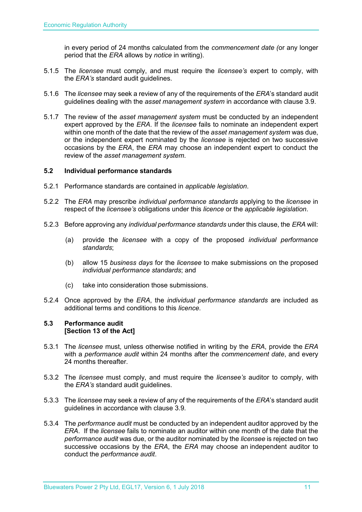in every period of 24 months calculated from the *commencement date (*or any longer period that the *ERA* allows by *notice* in writing).

- 5.1.5 The *licensee* must comply, and must require the *licensee's* expert to comply, with the *ERA's* standard audit guidelines.
- 5.1.6 The *licensee* may seek a review of any of the requirements of the *ERA*'s standard audit guidelines dealing with the *asset management system* in accordance with clause 3.9.
- 5.1.7 The review of the *asset management system* must be conducted by an independent expert approved by the *ERA*. If the *licensee* fails to nominate an independent expert within one month of the date that the review of the *asset management system* was due, or the independent expert nominated by the *licensee* is rejected on two successive occasions by the *ERA*, the *ERA* may choose an independent expert to conduct the review of the *asset management system*.

#### <span id="page-10-0"></span>**5.2 Individual performance standards**

- 5.2.1 Performance standards are contained in *applicable legislation*.
- 5.2.2 The *ERA* may prescribe *individual performance standards* applying to the *licensee* in respect of the *licensee's* obligations under this *licence* or the *applicable legislation*.
- 5.2.3 Before approving any *individual performance standards* under this clause, the *ERA* will:
	- (a) provide the *licensee* with a copy of the proposed *individual performance standards*;
	- (b) allow 15 *business days* for the *licensee* to make submissions on the proposed *individual performance standards*; and
	- (c) take into consideration those submissions.
- 5.2.4 Once approved by the *ERA*, the *individual performance standards* are included as additional terms and conditions to this *licence*.

#### <span id="page-10-1"></span>**5.3 Performance audit [Section 13 of the Act]**

- 5.3.1 The *licensee* must, unless otherwise notified in writing by the *ERA*, provide the *ERA* with a *performance audit* within 24 months after the *commencement date*, and every 24 months thereafter.
- 5.3.2 The *licensee* must comply, and must require the *licensee's* auditor to comply, with the *ERA's* standard audit guidelines.
- 5.3.3 The *licensee* may seek a review of any of the requirements of the *ERA*'s standard audit guidelines in accordance with clause 3.9.
- 5.3.4 The *performance audit* must be conducted by an independent auditor approved by the *ERA*. If the *licensee* fails to nominate an auditor within one month of the date that the *performance audit* was due, or the auditor nominated by the *licensee* is rejected on two successive occasions by the *ERA*, the *ERA* may choose an independent auditor to conduct the *performance audit*.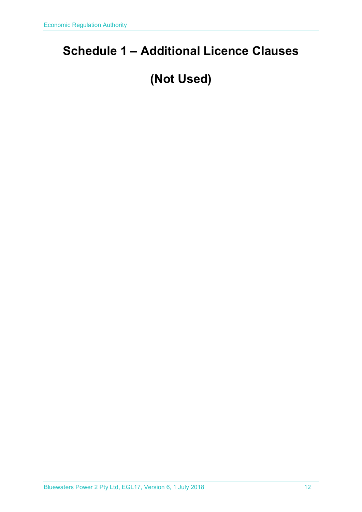## <span id="page-11-0"></span>**Schedule 1 – Additional Licence Clauses**

## **(Not Used)**

Bluewaters Power 2 Pty Ltd, EGL17, Version 6, 1 July 2018 12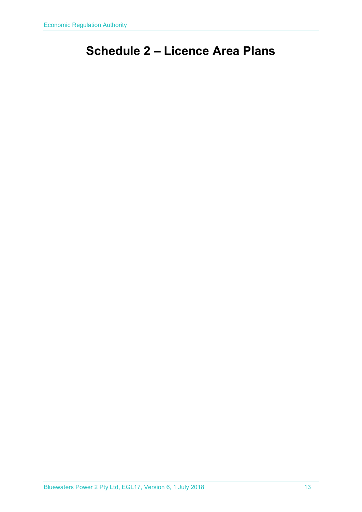## <span id="page-12-0"></span>**Schedule 2 – Licence Area Plans**